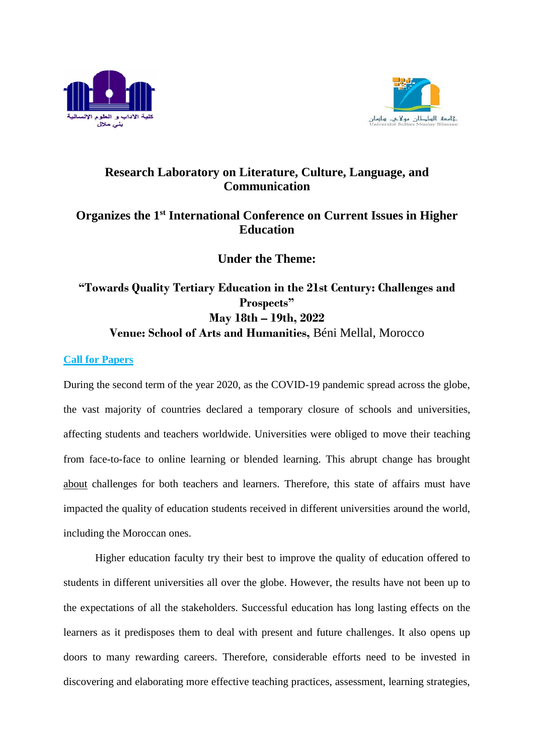



# **Research Laboratory on Literature, Culture, Language, and Communication**

## **Organizes the 1st International Conference on Current Issues in Higher Education**

**Under the Theme:**

# **"Towards Quality Tertiary Education in the 21st Century: Challenges and Prospects" May 18th – 19th, 2022 Venue: School of Arts and Humanities,** Béni Mellal, Morocco

### **Call for Papers**

During the second term of the year 2020, as the COVID-19 pandemic spread across the globe, the vast majority of countries declared a temporary closure of schools and universities, affecting students and teachers worldwide. Universities were obliged to move their teaching from face-to-face to online learning or blended learning. This abrupt change has brought about challenges for both teachers and learners. Therefore, this state of affairs must have impacted the quality of education students received in different universities around the world, including the Moroccan ones.

Higher education faculty try their best to improve the quality of education offered to students in different universities all over the globe. However, the results have not been up to the expectations of all the stakeholders. Successful education has long lasting effects on the learners as it predisposes them to deal with present and future challenges. It also opens up doors to many rewarding careers. Therefore, considerable efforts need to be invested in discovering and elaborating more effective teaching practices, assessment, learning strategies,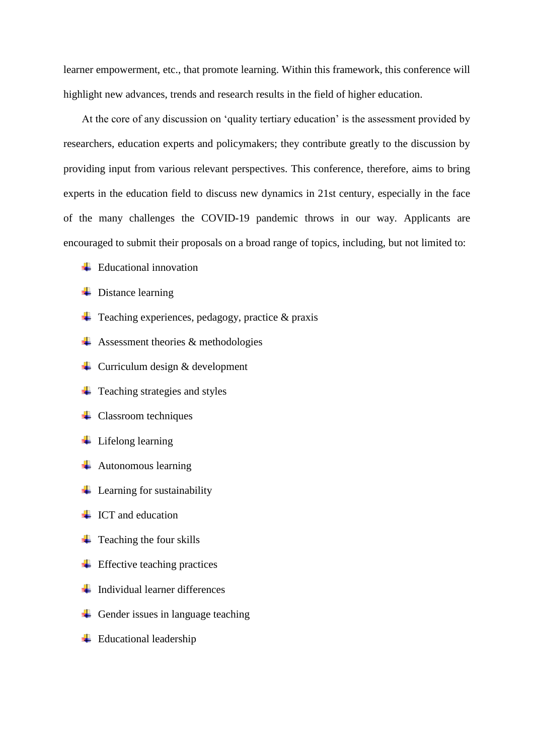learner empowerment, etc., that promote learning. Within this framework, this conference will highlight new advances, trends and research results in the field of higher education.

At the core of any discussion on 'quality tertiary education' is the assessment provided by researchers, education experts and policymakers; they contribute greatly to the discussion by providing input from various relevant perspectives. This conference, therefore, aims to bring experts in the education field to discuss new dynamics in 21st century, especially in the face of the many challenges the COVID-19 pandemic throws in our way. Applicants are encouraged to submit their proposals on a broad range of topics, including, but not limited to:

- $\overline{\phantom{a}}$  Educational innovation
- $\overline{\phantom{a}}$  Distance learning
- $\overline{\phantom{a}}$  Teaching experiences, pedagogy, practice & praxis
- $\overline{\text{4}}$  Assessment theories & methodologies
- $\downarrow$  Curriculum design & development
- $\ddot{\bullet}$  Teaching strategies and styles
- $\leftarrow$  Classroom techniques
- $\overline{\phantom{a}}$  Lifelong learning
- $\overline{\phantom{a}}$  Autonomous learning
- $\overline{\phantom{a}}$  Learning for sustainability
- $\overline{\phantom{a}}$  ICT and education
- $\ddot{\phantom{a}}$  Teaching the four skills
- $\ddot{\text{F}}$  Effective teaching practices
- $\ddot{\text{I}}$  Individual learner differences
- $\overline{\phantom{a}}$  Gender issues in language teaching
- $\overline{\phantom{a}}$  Educational leadership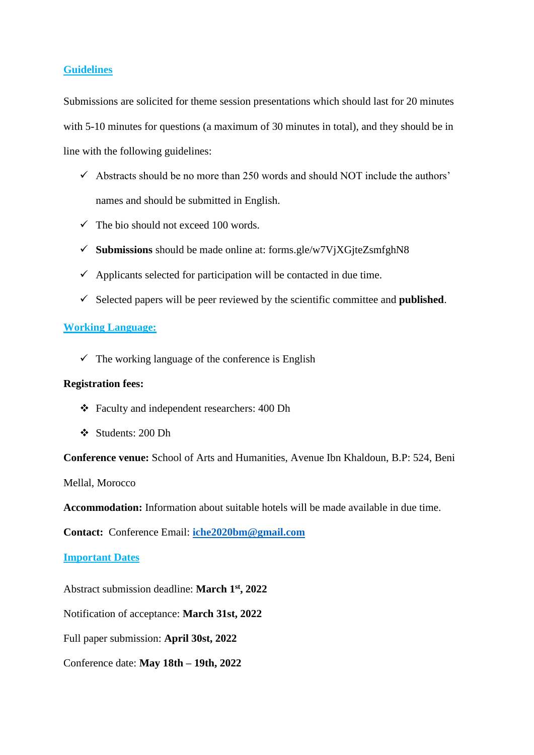#### **Guidelines**

Submissions are solicited for theme session presentations which should last for 20 minutes with 5-10 minutes for questions (a maximum of 30 minutes in total), and they should be in line with the following guidelines:

- $\checkmark$  Abstracts should be no more than 250 words and should NOT include the authors' names and should be submitted in English.
- $\checkmark$  The bio should not exceed 100 words.
- **Submissions** should be made online at: forms.gle/w7VjXGjteZsmfghN8
- $\checkmark$  Applicants selected for participation will be contacted in due time.
- $\checkmark$  Selected papers will be peer reviewed by the scientific committee and **published**.

#### **Working Language:**

 $\checkmark$  The working language of the conference is English

#### **Registration fees:**

- Faculty and independent researchers: 400 Dh
- Students: 200 Dh

**Conference venue:** School of Arts and Humanities, Avenue Ibn Khaldoun, B.P: 524, Beni

Mellal, Morocco

**Accommodation:** Information about suitable hotels will be made available in due time.

**Contact:** Conference Email: **[iche2020bm@gmail.com](mailto:iche2020bm@gmail.com)**

#### **Important Dates**

Abstract submission deadline: **March 1 st , 2022**

Notification of acceptance: **March 31st, 2022**

Full paper submission: **April 30st, 2022**

Conference date: **May 18th – 19th, 2022**